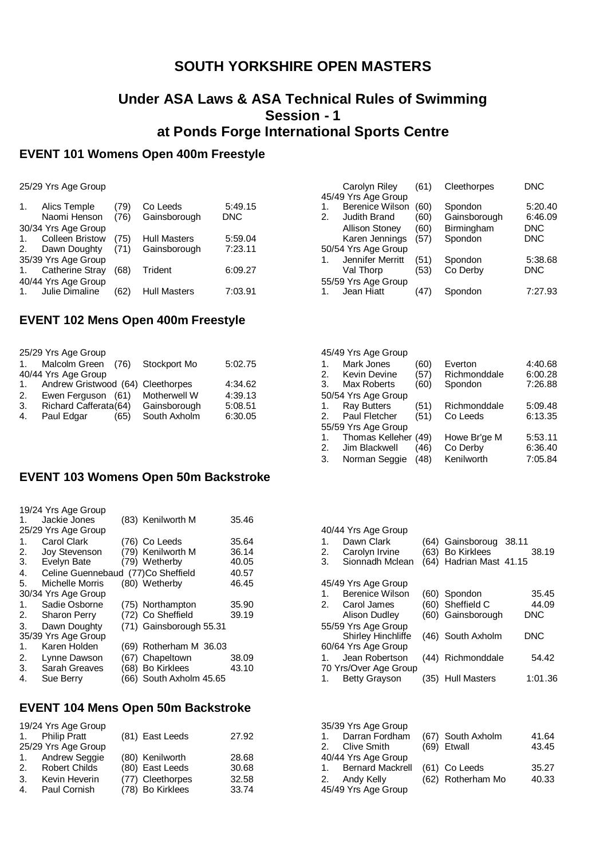# **SOUTH YORKSHIRE OPEN MASTERS**

### **Under ASA Laws & ASA Technical Rules of Swimming Session - 1 at Ponds Forge International Sports Centre**

# **EVENT 101 Womens Open 400m Freestyle**

25/29 Yrs Age Group

| Alics Temple           | (79)                                | Co Leeds            | 5:49.15      |
|------------------------|-------------------------------------|---------------------|--------------|
|                        |                                     |                     | <b>DNC</b>   |
| 30/34 Yrs Age Group    |                                     |                     |              |
| <b>Colleen Bristow</b> | (75)                                | <b>Hull Masters</b> | 5:59.04      |
| Dawn Doughty           | (71)                                | Gainsborough        | 7:23.11      |
| 35/39 Yrs Age Group    |                                     |                     |              |
| <b>Catherine Stray</b> | (68)                                | Trident             | 6:09.27      |
|                        |                                     |                     |              |
| Julie Dimaline         | (62)                                | <b>Hull Masters</b> | 7:03.91      |
|                        | Naomi Henson<br>40/44 Yrs Age Group | (76)                | Gainsborough |

#### **EVENT 102 Mens Open 400m Freestyle**

|             | 25/29 Yrs Age Group               |              |         |
|-------------|-----------------------------------|--------------|---------|
| $1_{\cdot}$ | Malcolm Green<br>(76)             | Stockport Mo | 5:02.75 |
|             | 40/44 Yrs Age Group               |              |         |
| 1.          | Andrew Gristwood (64) Cleethorpes |              | 4:34.62 |
| 2.          | Ewen Ferguson (61)                | Motherwell W | 4:39.13 |
| 3.          | Richard Cafferata(64)             | Gainsborough | 5:08.51 |
| 4.          | Paul Edgar<br>(65)                | South Axholm | 6:30.05 |
|             |                                   |              |         |

### **EVENT 103 Womens Open 50m Backstroke**

|    | 19/24 Yrs Age Group                |                         |       |
|----|------------------------------------|-------------------------|-------|
| 1. | Jackie Jones                       | (83) Kenilworth M       | 35.46 |
|    | 25/29 Yrs Age Group                |                         |       |
| 1. | Carol Clark                        | (76) Co Leeds           | 35.64 |
| 2. | <b>Joy Stevenson</b>               | (79) Kenilworth M       | 36.14 |
| 3. | Evelyn Bate                        | (79) Wetherby           | 40.05 |
| 4. | Celine Guennebaud (77)Co Sheffield |                         | 40.57 |
| 5. | Michelle Morris                    | (80) Wetherby           | 46.45 |
|    | 30/34 Yrs Age Group                |                         |       |
| 1. | Sadie Osborne                      | (75) Northampton        | 35.90 |
| 2. | Sharon Perry                       | (72) Co Sheffield       | 39.19 |
| 3. | Dawn Doughty                       | (71) Gainsborough 55.31 |       |
|    | 35/39 Yrs Age Group                |                         |       |
| 1. | Karen Holden                       | (69) Rotherham M 36.03  |       |
| 2. | Lynne Dawson                       | (67) Chapeltown         | 38.09 |
| 3. | <b>Sarah Greaves</b>               | (68) Bo Kirklees        | 43.10 |
| 4. | Sue Berrv                          | (66) South Axholm 45.65 |       |

#### **EVENT 104 Mens Open 50m Backstroke**

|                | 19/24 Yrs Age Group<br>1. Philip Pratt<br>25/29 Yrs Age Group | (81) East Leeds  | 27.92 |
|----------------|---------------------------------------------------------------|------------------|-------|
| 1.             | <b>Andrew Seggie</b>                                          | (80) Kenilworth  | 28.68 |
| 2.             | <b>Robert Childs</b>                                          | (80) East Leeds  | 30.68 |
| 3.             | Kevin Heverin                                                 | (77) Cleethorpes | 32.58 |
| $\mathbf{4}$ . | Paul Cornish                                                  | (78) Bo Kirklees | 33.74 |

| (61) | Cleethorpes  | <b>DNC</b> |
|------|--------------|------------|
|      |              |            |
| (60) | Spondon      | 5:20.40    |
| (60) | Gainsborough | 6:46.09    |
| (60) | Birmingham   | <b>DNC</b> |
| (57) | Spondon      | <b>DNC</b> |
|      |              |            |
| (51) | Spondon      | 5:38.68    |
| (53) | Co Derby     | <b>DNC</b> |
|      |              |            |
| 4/   | Spondon      | 7:27.93    |
|      |              |            |

|    | 45/49 Yrs Age Group  |      |              |         |
|----|----------------------|------|--------------|---------|
| 1. | Mark Jones           | (60) | Everton      | 4:40.68 |
| 2. | <b>Kevin Devine</b>  | (57) | Richmonddale | 6:00.28 |
| 3. | Max Roberts          | (60) | Spondon      | 7:26.88 |
|    | 50/54 Yrs Age Group  |      |              |         |
| 1. | <b>Ray Butters</b>   | (51) | Richmonddale | 5:09.48 |
| 2. | Paul Fletcher        | (51) | Co Leeds     | 6:13.35 |
|    | 55/59 Yrs Age Group  |      |              |         |
| 1. | Thomas Kelleher (49) |      | Howe Br'ge M | 5:53.11 |
| 2. | Jim Blackwell        | (46) | Co Derby     | 6:36.40 |
| 3. | Norman Seggie        | (48) | Kenilworth   | 7:05.84 |
|    |                      |      |              |         |

|    | 40/44 Yrs Age Group       |      |                         |            |
|----|---------------------------|------|-------------------------|------------|
| .1 | Dawn Clark                |      | (64) Gainsboroug        | -38.11     |
| 2. | Carolyn Irvine            |      | (63) Bo Kirklees        | 38.19      |
| 3. | Sionnadh Mclean           |      | (64) Hadrian Mast 41.15 |            |
|    |                           |      |                         |            |
|    | 45/49 Yrs Age Group       |      |                         |            |
| 1. | <b>Berenice Wilson</b>    |      | (60) Spondon            | 35.45      |
|    | 2. Carol James            |      | (60) Sheffield C        | 44.09      |
|    | Alison Dudley             |      | (60) Gainsborough       | <b>DNC</b> |
|    | 55/59 Yrs Age Group       |      |                         |            |
|    | <b>Shirley Hinchliffe</b> |      | (46) South Axholm       | <b>DNC</b> |
|    | 60/64 Yrs Age Group       |      |                         |            |
| 1. | Jean Robertson            |      | (44) Richmonddale       | 54.42      |
|    | 70 Yrs/Over Age Group     |      |                         |            |
|    | <b>Betty Grayson</b>      | (35) | <b>Hull Masters</b>     | 1:01.36    |

| 35/39 Yrs Age Group |                   |       |
|---------------------|-------------------|-------|
| 1. Darran Fordham   | (67) South Axholm | 41.64 |
| 2. Clive Smith      | (69) Etwall       | 43.45 |
| 40/44 Yrs Age Group |                   |       |
| 1. Bernard Mackrell | (61) Co Leeds     | 35.27 |
| 2. Andy Kelly       | (62) Rotherham Mo | 40.33 |
| 45/49 Yrs Age Group |                   |       |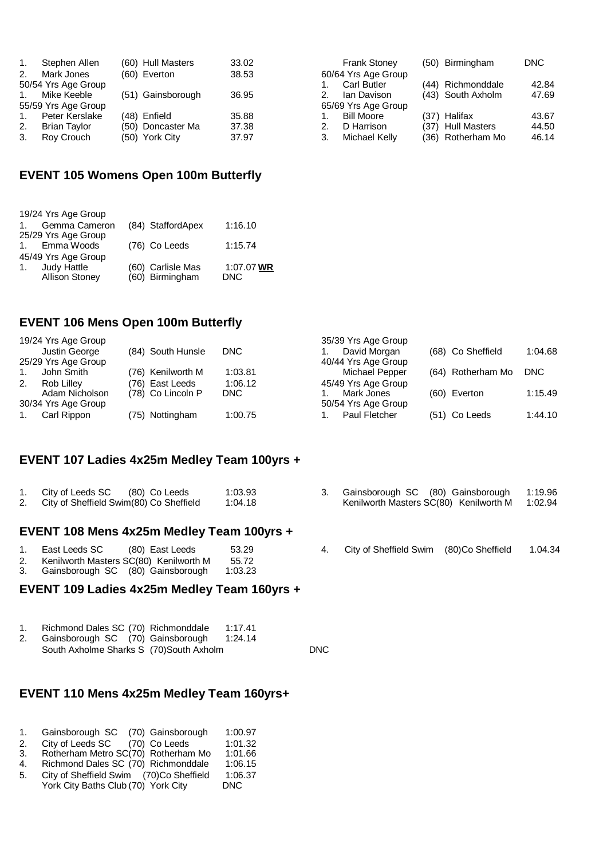| 1.          | Stephen Allen       | (60) Hull Masters | 33.02 |
|-------------|---------------------|-------------------|-------|
| 2.          | Mark Jones          | (60) Everton      | 38.53 |
|             | 50/54 Yrs Age Group |                   |       |
| $1_{-}$     | Mike Keeble         | (51) Gainsborough | 36.95 |
|             | 55/59 Yrs Age Group |                   |       |
| $1_{\cdot}$ | Peter Kerslake      | (48) Enfield      | 35.88 |
| 2.          | <b>Brian Taylor</b> | (50) Doncaster Ma | 37.38 |
| 3.          | Roy Crouch          | (50) York City    | 37.97 |
|             |                     |                   |       |

|    | <b>Frank Stoney</b> | (50) Birmingham   | <b>DNC</b> |
|----|---------------------|-------------------|------------|
|    | 60/64 Yrs Age Group |                   |            |
| 1. | <b>Carl Butler</b>  | (44) Richmonddale | 42.84      |
| 2. | Ian Davison         | (43) South Axholm | 47.69      |
|    | 65/69 Yrs Age Group |                   |            |
| 1. | <b>Bill Moore</b>   | (37) Halifax      | 43.67      |
| 2. | D Harrison          | (37) Hull Masters | 44.50      |
| 3. | Michael Kelly       | (36) Rotherham Mo | 46.14      |
|    |                     |                   |            |

#### **EVENT 105 Womens Open 100m Butterfly**

 $19/24 \times 19/24 = 2$ 

| 19/24 Yrs Age Group        |                   |            |
|----------------------------|-------------------|------------|
| Gemma Cameron<br>$1 \quad$ | (84) StaffordApex | 1:16.10    |
| 25/29 Yrs Age Group        |                   |            |
| 1. Emma Woods              | (76) Co Leeds     | 1:15.74    |
| 45/49 Yrs Age Group        |                   |            |
| Judy Hattle<br>1.          | (60) Carlisle Mas | 1:07.07 WR |
| <b>Allison Stoney</b>      | (60) Birmingham   | DNC        |
|                            |                   |            |

#### **EVENT 106 Mens Open 100m Butterfly**

|    | 19/24 Yrs Age Group                   |                   |         | 35/39 Yrs Age Group                   |                   |         |
|----|---------------------------------------|-------------------|---------|---------------------------------------|-------------------|---------|
|    | Justin George                         | (84) South Hunsle | DNC.    | David Morgan                          | (68) Co Sheffield | 1:04.68 |
|    | 25/29 Yrs Age Group<br>John Smith     | (76) Kenilworth M | 1:03.81 | 40/44 Yrs Age Group<br>Michael Pepper | (64) Rotherham Mo | DNC     |
| 2. | Rob Lillev                            | (76) East Leeds   | 1:06.12 | 45/49 Yrs Age Group                   |                   |         |
|    | Adam Nicholson<br>30/34 Yrs Age Group | (78) Co Lincoln P | DNC.    | Mark Jones<br>50/54 Yrs Age Group     | (60) Everton      | 1:15.49 |
|    | Carl Rippon                           | (75) Nottingham   | 1:00.75 | Paul Fletcher                         | (51) Co Leeds     | 1:44.10 |

#### **EVENT 107 Ladies 4x25m Medley Team 100yrs +**

| City of Leeds SC (80) Co Leeds          | 1:03.93 | 3. Gainsborc |
|-----------------------------------------|---------|--------------|
| City of Sheffield Swim(80) Co Sheffield | 1:04.18 | Kenilworth   |

#### **EVENT 108 Mens 4x25m Medley Team 100yrs +**

|    | (80) East Leeds<br>East Leeds SC       | 53.29   |  |
|----|----------------------------------------|---------|--|
| 2. | Kenilworth Masters SC(80) Kenilworth M | 55.72   |  |
| 3. | Gainsborough SC (80) Gainsborough      | 1:03.23 |  |

#### **EVENT 109 Ladies 4x25m Medley Team 160yrs +**

| 1. | Richmond Dales SC (70) Richmonddale      | 1:17.41 |            |
|----|------------------------------------------|---------|------------|
| 2. | Gainsborough SC (70) Gainsborough        | 1:24.14 |            |
|    | South Axholme Sharks S (70) South Axholm |         | <b>DNC</b> |

#### **EVENT 110 Mens 4x25m Medley Team 160yrs+**

|                  | Gainsborough SC (70) Gainsborough | 1:00.97 |
|------------------|-----------------------------------|---------|
| City of Leeds SC | $(70)$ Co Leeds                   | 1:01.32 |

- 3. Rotherham Metro SC(70) Rotherham Mo 1:01.66
- 4. Richmond Dales SC (70) Richmonddale 1:06.15
- 5. City of Sheffield Swim (70)Co Sheffield 1:06.37<br>
York City Baths Club (70) York City DNC
- York City Baths Club (70) York City
- 3. Gainsborough SC (80) Gainsborough 1:19.96 Kenilworth Masters SC(80) Kenilworth M 1:02.94
- 4. City of Sheffield Swim (80)Co Sheffield 1.04.34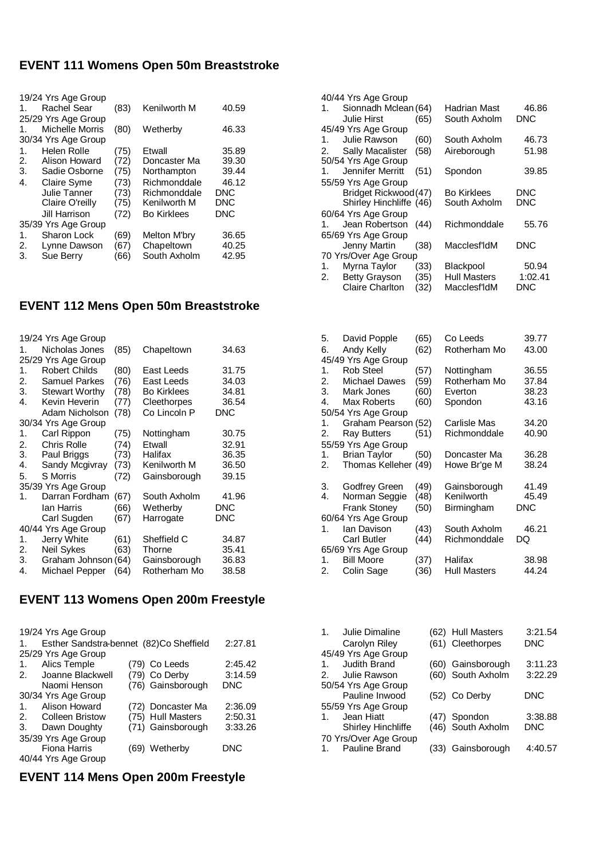### **EVENT 111 Womens Open 50m Breaststroke**

|    | 19/24 Yrs Age Group    |      |                    |            |
|----|------------------------|------|--------------------|------------|
| 1. | <b>Rachel Sear</b>     | (83) | Kenilworth M       | 40.59      |
|    | 25/29 Yrs Age Group    |      |                    |            |
| 1. | <b>Michelle Morris</b> | (80) | Wetherby           | 46.33      |
|    | 30/34 Yrs Age Group    |      |                    |            |
| 1. | Helen Rolle            | (75) | Etwall             | 35.89      |
| 2. | Alison Howard          | (72) | Doncaster Ma       | 39.30      |
| 3. | Sadie Osborne          | (75) | Northampton        | 39.44      |
| 4. | <b>Claire Syme</b>     | (73) | Richmonddale       | 46.12      |
|    | Julie Tanner           | (73) | Richmonddale       | <b>DNC</b> |
|    | Claire O'reilly        | (75) | Kenilworth M       | <b>DNC</b> |
|    | Jill Harrison          | (72) | <b>Bo Kirklees</b> | DNC        |
|    | 35/39 Yrs Age Group    |      |                    |            |
| 1. | Sharon Lock            | (69) | Melton M'bry       | 36.65      |
| 2. | Lynne Dawson           | (67) | Chapeltown         | 40.25      |
| 3. | Sue Berry              | (66) | South Axholm       | 42.95      |

#### **EVENT 112 Mens Open 50m Breaststroke**

|    | 19/24 Yrs Age Group   |      |                    |       |
|----|-----------------------|------|--------------------|-------|
| 1. | Nicholas Jones        | (85) | Chapeltown         | 34.63 |
|    | 25/29 Yrs Age Group   |      |                    |       |
| 1. | <b>Robert Childs</b>  | (80) | East Leeds         | 31.75 |
| 2. | <b>Samuel Parkes</b>  | (76) | East Leeds         | 34.03 |
| 3. | <b>Stewart Worthy</b> | (78) | <b>Bo Kirklees</b> | 34.81 |
| 4. | Kevin Heverin         | (77) | Cleethorpes        | 36.54 |
|    | Adam Nicholson        | (78) | Co Lincoln P       | DNC   |
|    | 30/34 Yrs Age Group   |      |                    |       |
| 1. | Carl Rippon           | (75) | Nottingham         | 30.75 |
| 2. | Chris Rolle           | (74) | Etwall             | 32.91 |
| 3. | Paul Briggs           | (73) | Halifax            | 36.35 |
| 4. | Sandy Mcgivray        | (73) | Kenilworth M       | 36.50 |
| 5. | <b>S</b> Morris       | (72) | Gainsborough       | 39.15 |
|    | 35/39 Yrs Age Group   |      |                    |       |
| 1. | Darran Fordham        | (67) | South Axholm       | 41.96 |
|    | lan Harris            | (66) | Wetherby           | DNC   |
|    | Carl Sugden           | (67) | Harrogate          | DNC   |
|    | 40/44 Yrs Age Group   |      |                    |       |
| 1. | Jerry White           | (61) | Sheffield C        | 34.87 |
| 2. | Neil Sykes            | (63) | Thorne             | 35.41 |
| 3. | Graham Johnson (64)   |      | Gainsborough       | 36.83 |
| 4. | Michael Pepper        | (64) | Rotherham Mo       | 38.58 |
|    |                       |      |                    |       |

# **EVENT 113 Womens Open 200m Freestyle**

| 19/24 Yrs Age Group                                       |                   |            |  |  |  |
|-----------------------------------------------------------|-------------------|------------|--|--|--|
| Esther Sandstra-bennet (82)Co Sheffield<br>$\mathbf{1}$ . |                   | 2:27.81    |  |  |  |
| 25/29 Yrs Age Group                                       |                   |            |  |  |  |
| Alics Temple<br>1.                                        | (79) Co Leeds     | 2:45.42    |  |  |  |
| Joanne Blackwell<br>2.                                    | (79) Co Derby     | 3:14.59    |  |  |  |
| Naomi Henson                                              | (76) Gainsborough | <b>DNC</b> |  |  |  |
| 30/34 Yrs Age Group                                       |                   |            |  |  |  |
| Alison Howard<br>$\mathbf 1$                              | (72) Doncaster Ma | 2:36.09    |  |  |  |
| <b>Colleen Bristow</b><br>2.                              | (75) Hull Masters | 2:50.31    |  |  |  |
| Dawn Doughty<br>3.                                        | (71) Gainsborough | 3:33.26    |  |  |  |
| 35/39 Yrs Age Group                                       |                   |            |  |  |  |
| Fiona Harris                                              | (69) Wetherby     | DNC        |  |  |  |
| 40/44 Yrs Age Group                                       |                   |            |  |  |  |

### **EVENT 114 Mens Open 200m Freestyle**

|    | 40/44 Yrs Age Group     |      |                    |         |
|----|-------------------------|------|--------------------|---------|
| 1. | Sionnadh Mclean (64)    |      | Hadrian Mast       | 46.86   |
|    | Julie Hirst             | (65) | South Axholm       | DNC     |
|    | 45/49 Yrs Age Group     |      |                    |         |
| 1. | Julie Rawson            | (60) | South Axholm       | 46.73   |
|    | 2. Sally Macalister     | (58) | Aireborough        | 51.98   |
|    | 50/54 Yrs Age Group     |      |                    |         |
|    | 1. Jennifer Merritt     | (51) | Spondon            | 39.85   |
|    | 55/59 Yrs Age Group     |      |                    |         |
|    | Bridget Rickwood (47)   |      | <b>Bo Kirklees</b> | DNC     |
|    | Shirley Hinchliffe (46) |      | South Axholm       | DNC     |
|    | 60/64 Yrs Age Group     |      |                    |         |
| 1. | Jean Robertson          | (44) | Richmonddale       | 55.76   |
|    | 65/69 Yrs Age Group     |      |                    |         |
|    | Jenny Martin            | (38) | Macclesf'IdM       | DNC     |
|    | 70 Yrs/Over Age Group   |      |                    |         |
| 1. | Myrna Taylor            | (33) | Blackpool          | 50.94   |
| 2. | <b>Betty Grayson</b>    | (35) | Hull Masters       | 1:02.41 |
|    | Claire Charlton         | (32) | Macclesf'IdM       | DNC     |
|    |                         |      |                    |         |

| David Popple         | (65)                                                                         | Co Leeds                                                    | 39.77                      |
|----------------------|------------------------------------------------------------------------------|-------------------------------------------------------------|----------------------------|
| Andy Kelly           | (62)                                                                         | Rotherham Mo                                                | 43.00                      |
| 45/49 Yrs Age Group  |                                                                              |                                                             |                            |
| <b>Rob Steel</b>     | (57)                                                                         | Nottingham                                                  | 36.55                      |
| <b>Michael Dawes</b> | (59)                                                                         | Rotherham Mo                                                | 37.84                      |
| 3.<br>Mark Jones     | (60)                                                                         | Everton                                                     | 38.23                      |
| Max Roberts          | (60)                                                                         | Spondon                                                     | 43.16                      |
| 50/54 Yrs Age Group  |                                                                              |                                                             |                            |
|                      |                                                                              | Carlisle Mas                                                | 34.20                      |
| Ray Butters          | (51)                                                                         | Richmonddale                                                | 40.90                      |
| 55/59 Yrs Age Group  |                                                                              |                                                             |                            |
| <b>Brian Taylor</b>  | (50)                                                                         | Doncaster Ma                                                | 36.28                      |
|                      |                                                                              | Howe Br'ge M                                                | 38.24                      |
|                      | (49)                                                                         |                                                             | 41.49                      |
|                      |                                                                              | Kenilworth                                                  | 45.49                      |
|                      |                                                                              |                                                             | <b>DNC</b>                 |
| 60/64 Yrs Age Group  |                                                                              |                                                             |                            |
| Ian Davison          | (43)                                                                         | South Axholm                                                | 46.21                      |
| Carl Butler          | (44)                                                                         | Richmonddale                                                | DQ                         |
|                      |                                                                              |                                                             |                            |
| <b>Bill Moore</b>    | (37)                                                                         | Halifax                                                     | 38.98                      |
| Colin Sage           | (36)                                                                         | <b>Hull Masters</b>                                         | 44.24                      |
|                      | Godfrey Green<br>Norman Seggie<br><b>Frank Stoney</b><br>65/69 Yrs Age Group | Graham Pearson (52)<br>Thomas Kelleher (49)<br>(48)<br>(50) | Gainsborough<br>Birmingham |

| 1 <sub>1</sub> | Julie Dimaline<br>Carolyn Riley | (62) Hull Masters<br>(61) Cleethorpes | 3:21.54<br><b>DNC</b> |
|----------------|---------------------------------|---------------------------------------|-----------------------|
|                | 45/49 Yrs Age Group             |                                       |                       |
| $\mathbf{1}$ . | Judith Brand                    | (60) Gainsborough                     | 3:11.23               |
| 2.             | Julie Rawson                    | (60) South Axholm                     | 3:22.29               |
|                | 50/54 Yrs Age Group             |                                       |                       |
|                | Pauline Inwood                  | (52) Co Derby                         | <b>DNC</b>            |
|                | 55/59 Yrs Age Group             |                                       |                       |
| $\mathbf{1}$   | Jean Hiatt                      | (47) Spondon                          | 3:38.88               |
|                | Shirley Hinchliffe              | (46) South Axholm                     | <b>DNC</b>            |
|                | 70 Yrs/Over Age Group           |                                       |                       |
|                | Pauline Brand                   | (33) Gainsborough                     | 4:40.57               |
|                |                                 |                                       |                       |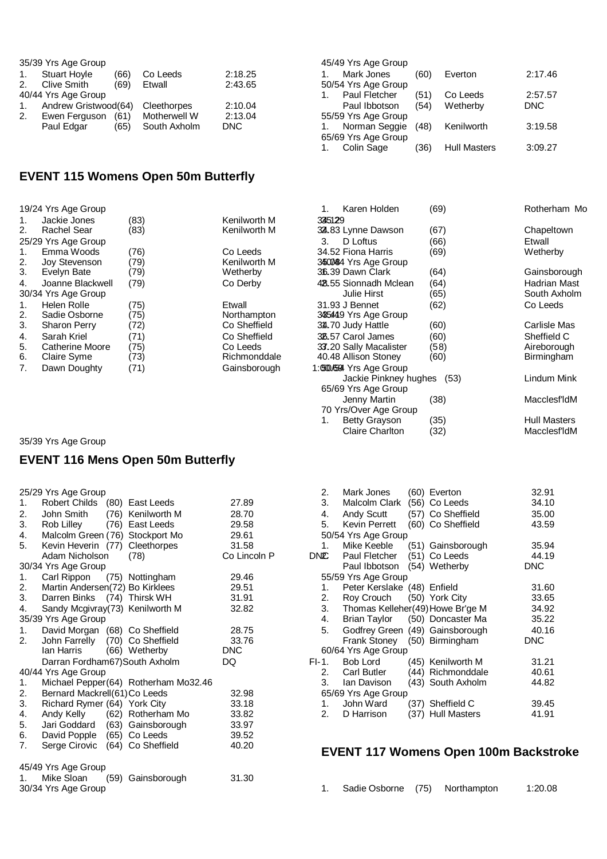|    | 35/39 Yrs Age Group  |      |              |            |
|----|----------------------|------|--------------|------------|
| 1. | <b>Stuart Hoyle</b>  | (66) | Co Leeds     | 2:18.25    |
| 2. | <b>Clive Smith</b>   | (69) | Etwall       | 2:43.65    |
|    | 40/44 Yrs Age Group  |      |              |            |
| 1. | Andrew Gristwood(64) |      | Cleethorpes  | 2:10.04    |
| 2. | Ewen Ferguson        | (61) | Motherwell W | 2:13.04    |
|    | Paul Edgar           | (65) | South Axholm | <b>DNC</b> |

| 45/49 Yrs Age Group |      |                     |            |
|---------------------|------|---------------------|------------|
| Mark Jones          | (60) | Everton             | 2:17.46    |
| 50/54 Yrs Age Group |      |                     |            |
| Paul Fletcher       | (51) | Co Leeds            | 2:57.57    |
| Paul Ibbotson       | (54) | Wetherby            | <b>DNC</b> |
| 55/59 Yrs Age Group |      |                     |            |
| Norman Seggie       | (48) | Kenilworth          | 3:19.58    |
| 65/69 Yrs Age Group |      |                     |            |
| Colin Sage          | 36   | <b>Hull Masters</b> | 3:09.27    |

# **EVENT 115 Womens Open 50m Butterfly**

|             | 19/24 Yrs Age Group |      |              | Karen Holden              | (69) | Rotherham Mo              |
|-------------|---------------------|------|--------------|---------------------------|------|---------------------------|
| 1.          | Jackie Jones        | (83) | Kenilworth M | 335129                    |      |                           |
| 2.          | Rachel Sear         | (83) | Kenilworth M | 32.83 Lynne Dawson        | (67) | Chapeltown                |
|             | 25/29 Yrs Age Group |      |              | D Loftus<br>3.            | (66) | Etwall                    |
| $1_{\cdot}$ | Emma Woods          | (76) | Co Leeds     | 34.52 Fiona Harris        | (69) | Wetherby                  |
| 2.          | Joy Stevenson       | (79) | Kenilworth M | 34500484 Yrs Age Group    |      |                           |
| 3.          | Evelyn Bate         | (79) | Wetherby     | 36.39 Dawn Clark          | (64) | Gainsborough              |
| 4.          | Joanne Blackwell    | (79) | Co Derby     | 42.55 Sionnadh Mclean     | (64) | <b>Hadrian Mast</b>       |
|             | 30/34 Yrs Age Group |      |              | Julie Hirst               | (65) | South Axholm              |
| 1.          | Helen Rolle         | (75) | Etwall       | 31.93 J Bennet            | (62) | Co Leeds                  |
| 2.          | Sadie Osborne       | (75) | Northampton  | 3485449 Yrs Age Group     |      |                           |
| 3.          | <b>Sharon Perry</b> | (72) | Co Sheffield | 34.70 Judy Hattle         | (60) | Carlisle Mas              |
| 4.          | Sarah Kriel         | (71) | Co Sheffield | 38.57 Carol James         | (60) | Sheffield C               |
| 5.          | Catherine Moore     | (75) | Co Leeds     | 33.20 Sally Macalister    | (58) | Aireborough               |
| 6.          | Claire Syme         | (73) | Richmonddale | 40.48 Allison Stoney      | (60) | Birmingham                |
| 7.          | Dawn Doughty        | (71) | Gainsborough | 1:0500.4594 Yrs Age Group |      |                           |
|             |                     |      |              | Jackie Pinkney hughes     | (53) | Lindum Mink               |
|             |                     |      |              | 65/69 Yrs Age Group       |      |                           |
|             |                     |      |              | Jenny Martin              | (38) | Macclesf <sup>'</sup> ldM |

70 Yrs/Over Age Group

35/39 Yrs Age Group

### **EVENT 116 Mens Open 50m Butterfly**

|    | 25/29 Yrs Age Group              |      |                                      |              | 2.         | Mark Jones                       |      | (60) Everton                              | 32.91      |
|----|----------------------------------|------|--------------------------------------|--------------|------------|----------------------------------|------|-------------------------------------------|------------|
| 1. | Robert Childs                    |      | (80) East Leeds                      | 27.89        | 3.         | Malcolm Clark                    |      | (56) Co Leeds                             | 34.10      |
| 2. | John Smith                       | (76) | Kenilworth M                         | 28.70        | 4.         | Andy Scutt                       |      | (57) Co Sheffield                         | 35.00      |
| 3. | Rob Lilley                       |      | (76) East Leeds                      | 29.58        | 5.         | Kevin Perrett                    |      | (60) Co Sheffield                         | 43.59      |
| 4. | Malcolm Green (76) Stockport Mo  |      |                                      | 29.61        |            | 50/54 Yrs Age Group              |      |                                           |            |
| 5. | Kevin Heverin (77)               |      | Cleethorpes                          | 31.58        | 1.         | Mike Keeble                      |      | (51) Gainsborough                         | 35.94      |
|    | Adam Nicholson                   |      | (78)                                 | Co Lincoln P | <b>DNC</b> | Paul Fletcher                    |      | (51) Co Leeds                             | 44.19      |
|    | 30/34 Yrs Age Group              |      |                                      |              |            | Paul Ibbotson                    |      | (54) Wetherby                             | <b>DNC</b> |
| 1. | Carl Rippon                      |      | (75) Nottingham                      | 29.46        |            | 55/59 Yrs Age Group              |      |                                           |            |
| 2. | Martin Andersen(72) Bo Kirklees  |      |                                      | 29.51        | 1.         | Peter Kerslake (48) Enfield      |      |                                           | 31.60      |
| 3. | Darren Binks (74) Thirsk WH      |      |                                      | 31.91        | 2.         | Roy Crouch                       |      | (50) York City                            | 33.65      |
| 4. | Sandy Mcgivray (73) Kenilworth M |      |                                      | 32.82        | 3.         | Thomas Kelleher(49) Howe Br'ge M |      |                                           | 34.92      |
|    | 35/39 Yrs Age Group              |      |                                      |              | 4.         | <b>Brian Taylor</b>              |      | (50) Doncaster Ma                         | 35.22      |
| 1. | David Morgan (68) Co Sheffield   |      |                                      | 28.75        | 5.         | Godfrey Green (49) Gainsborough  |      |                                           | 40.16      |
| 2. | John Farrelly                    |      | (70) Co Sheffield                    | 33.76        |            | Frank Stoney                     |      | (50) Birmingham                           | <b>DNC</b> |
|    | Ian Harris                       |      | (66) Wetherby                        | <b>DNC</b>   |            | 60/64 Yrs Age Group              |      |                                           |            |
|    | Darran Fordham67) South Axholm   |      |                                      | DQ           | $F-I.$     | Bob Lord                         |      | (45) Kenilworth M                         | 31.21      |
|    | 40/44 Yrs Age Group              |      |                                      |              | 2.         | <b>Carl Butler</b>               |      | (44) Richmonddale                         | 40.61      |
| 1. |                                  |      | Michael Pepper(64) Rotherham Mo32.46 |              | 3.         | Ian Davison                      |      | (43) South Axholm                         | 44.82      |
| 2. | Bernard Mackrell(61) Co Leeds    |      |                                      | 32.98        |            | 65/69 Yrs Age Group              |      |                                           |            |
| 3. | Richard Rymer (64) York City     |      |                                      | 33.18        | 1.         | John Ward                        |      | (37) Sheffield C                          | 39.45      |
| 4. | Andy Kelly                       |      | (62) Rotherham Mo                    | 33.82        | 2.         | D Harrison                       |      | (37) Hull Masters                         | 41.91      |
| 5. | Jari Goddard                     | (63) | Gainsborough                         | 33.97        |            |                                  |      |                                           |            |
| 6. | David Popple                     |      | (65) Co Leeds                        | 39.52        |            |                                  |      |                                           |            |
| 7. | Serge Cirovic                    | (64) | Co Sheffield                         | 40.20        |            |                                  |      |                                           |            |
|    |                                  |      |                                      |              |            |                                  |      | <b>EVENT 117 Womens Open 100m Backstr</b> |            |
|    | 45/49 Yrs Age Group              |      |                                      |              |            |                                  |      |                                           |            |
| 1. | Mike Sloan                       | (59) | Gainsborough                         | 31.30        |            |                                  |      |                                           |            |
|    | 30/34 Yrs Age Group              |      |                                      |              | 1.         | Sadie Osborne                    | (75) | Northampton                               | 1:20.08    |
|    |                                  |      |                                      |              |            |                                  |      |                                           |            |

| 2.    | Mark Jones                         | (60) Everton      | 32.91      |
|-------|------------------------------------|-------------------|------------|
| 3.    | Malcolm Clark                      | (56) Co Leeds     | 34.10      |
| 4.    | Andy Scutt                         | (57) Co Sheffield | 35.00      |
|       | 5. Kevin Perrett (60) Co Sheffield |                   | 43.59      |
|       | 50/54 Yrs Age Group                |                   |            |
| 1.    | Mike Keeble (51) Gainsborough      |                   | 35.94      |
| DNC   | Paul Fletcher                      | (51) Co Leeds     | 44.19      |
|       | Paul Ibbotson (54) Wetherby        |                   | DNC        |
|       | 55/59 Yrs Age Group                |                   |            |
| 1.    | Peter Kerslake (48) Enfield        |                   | 31.60      |
| 2.    | Roy Crouch (50) York City          |                   | 33.65      |
| 3.    | Thomas Kelleher(49) Howe Br'ge M   |                   | 34.92      |
| 4.    | Brian Taylor (50) Doncaster Ma     |                   | 35.22      |
| 5.    | Godfrey Green (49) Gainsborough    |                   | 40.16      |
|       | Frank Stoney (50) Birmingham       |                   | <b>DNC</b> |
|       | 60/64 Yrs Age Group                |                   |            |
| FI-1. | Bob Lord                           | (45) Kenilworth M | 31.21      |
| 2.    | Carl Butler                        | (44) Richmonddale | 40.61      |
| 3.    | Ian Davison (43) South Axholm      |                   | 44.82      |
|       | 65/69 Yrs Age Group                |                   |            |
| 1.    | John Ward                          | (37) Sheffield C  | 39.45      |
| 2.    | D Harrison                         | (37) Hull Masters | 41.91      |

1. Betty Grayson (35) The Hull Masters Claire Charlton (32) Macclesf'ldM

#### **EVENT 117 Womens Open 100m Backstroke**

|  | Sadie Osborne (75) |  | Northampton | 1:20.08 |
|--|--------------------|--|-------------|---------|
|--|--------------------|--|-------------|---------|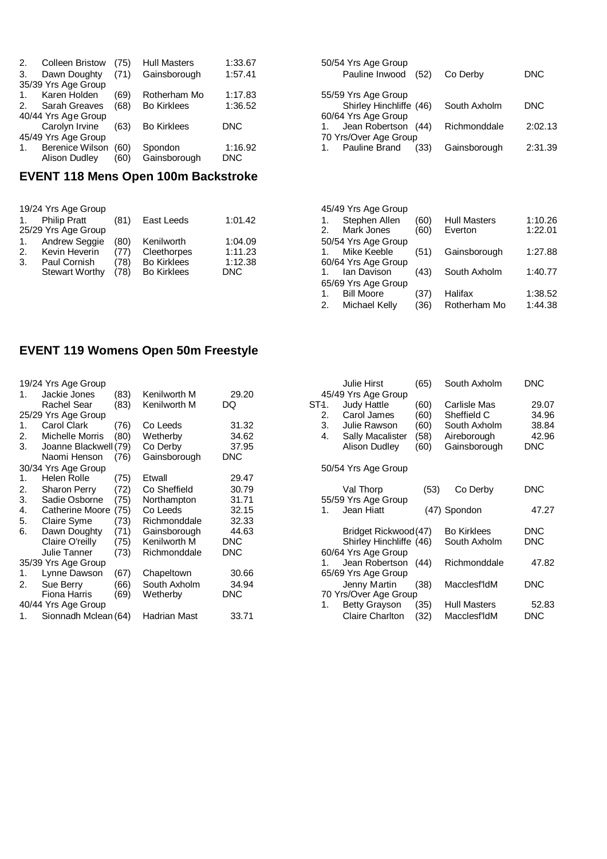| 2.             | <b>Colleen Bristow</b> | (75) | <b>Hull Masters</b> | 1:33.67    |
|----------------|------------------------|------|---------------------|------------|
| 3.             | Dawn Doughty           | (71) | Gainsborough        | 1:57.41    |
|                | 35/39 Yrs Age Group    |      |                     |            |
| $\mathbf{1}$ . | Karen Holden           | (69) | Rotherham Mo        | 1:17.83    |
| 2.             | <b>Sarah Greaves</b>   | (68) | <b>Bo Kirklees</b>  | 1:36.52    |
|                | 40/44 Yrs Age Group    |      |                     |            |
|                | Carolyn Irvine         | (63) | <b>Bo Kirklees</b>  | <b>DNC</b> |
|                | 45/49 Yrs Age Group    |      |                     |            |
| 1.             | <b>Berenice Wilson</b> | (60) | Spondon             | 1:16.92    |
|                | <b>Alison Dudley</b>   | (60) | Gainsborough        | <b>DNC</b> |

# **EVENT 118 Mens Open 100m Backstroke**

|    | 19/24 Yrs Age Group   |      |                    |            |
|----|-----------------------|------|--------------------|------------|
| 1. | <b>Philip Pratt</b>   | (81) | East Leeds         | 1:01.42    |
|    | 25/29 Yrs Age Group   |      |                    |            |
| 1. | <b>Andrew Seggie</b>  | (80) | Kenilworth         | 1:04.09    |
| 2. | Kevin Heverin         | (77) | Cleethorpes        | 1:11.23    |
| 3. | Paul Cornish          | (78) | <b>Bo Kirklees</b> | 1:12.38    |
|    | <b>Stewart Worthy</b> | (78) | <b>Bo Kirklees</b> | <b>DNC</b> |
|    |                       |      |                    |            |

| 50/54 Yrs Age Group<br>Pauline Inwood (52) | Co Derby     | DNC     |
|--------------------------------------------|--------------|---------|
| 55/59 Yrs Age Group                        |              |         |
| Shirley Hinchliffe (46)                    | South Axholm | DNC.    |
| 60/64 Yrs Age Group                        |              |         |
| Jean Robertson<br>(44)                     | Richmonddale | 2:02.13 |
| 70 Yrs/Over Age Group                      |              |         |
| Pauline Brand<br>(33)                      | Gainsborough | 2:31.39 |

|    | 45/49 Yrs Age Group |      |                     |         |
|----|---------------------|------|---------------------|---------|
|    | 1. Stephen Allen    | (60) | <b>Hull Masters</b> | 1:10.26 |
| 2. | Mark Jones          | (60) | Everton             | 1:22.01 |
|    | 50/54 Yrs Age Group |      |                     |         |
| 1. | Mike Keeble         | (51) | Gainsborough        | 1:27.88 |
|    | 60/64 Yrs Age Group |      |                     |         |
|    | 1. Ian Davison      | (43) | South Axholm        | 1:40.77 |
|    | 65/69 Yrs Age Group |      |                     |         |
| 1. | <b>Bill Moore</b>   | (37) | Halifax             | 1:38.52 |
| 2. | Michael Kelly       | (36) | Rotherham Mo        | 1:44.38 |
|    |                     |      |                     |         |

# **EVENT 119 Womens Open 50m Freestyle**

|    | 19/24 Yrs Age Group   |      |              |            |     |
|----|-----------------------|------|--------------|------------|-----|
| 1. | Jackie Jones          | (83) | Kenilworth M | 29.20      |     |
|    | Rachel Sear           | (83) | Kenilworth M | DQ         | ST÷ |
|    | 25/29 Yrs Age Group   |      |              |            |     |
| 1. | Carol Clark           | (76) | Co Leeds     | 31.32      |     |
| 2. | Michelle Morris       | (80) | Wetherby     | 34.62      |     |
| 3. | Joanne Blackwell (79) |      | Co Derby     | 37.95      |     |
|    | Naomi Henson          | (76) | Gainsborough | <b>DNC</b> |     |
|    | 30/34 Yrs Age Group   |      |              |            |     |
| 1. | Helen Rolle           | (75) | Etwall       | 29.47      |     |
| 2. | <b>Sharon Perry</b>   | (72) | Co Sheffield | 30.79      |     |
| 3. | Sadie Osborne         | (75) | Northampton  | 31.71      |     |
| 4. | Catherine Moore       | (75) | Co Leeds     | 32.15      |     |
| 5. | Claire Syme           | (73) | Richmonddale | 32.33      |     |
| 6. | Dawn Doughty          | (71) | Gainsborough | 44.63      |     |
|    | Claire O'reilly       | (75) | Kenilworth M | <b>DNC</b> |     |
|    | Julie Tanner          | (73) | Richmonddale | <b>DNC</b> |     |
|    | 35/39 Yrs Age Group   |      |              |            |     |
| 1. | Lynne Dawson          | (67) | Chapeltown   | 30.66      |     |
| 2. | Sue Berry             | (66) | South Axholm | 34.94      |     |
|    | Fiona Harris          | (69) | Wetherby     | <b>DNC</b> |     |
|    | 40/44 Yrs Age Group   |      |              |            |     |
| 1. | Sionnadh Mclean (64)  |      | Hadrian Mast | 33.71      |     |

|                         | Julie Hirst                                                                                                          | (65)                                 | South Axholm                                                               | DNC                                     |
|-------------------------|----------------------------------------------------------------------------------------------------------------------|--------------------------------------|----------------------------------------------------------------------------|-----------------------------------------|
| ST-1.<br>2.<br>3.<br>4. | 45/49 Yrs Age Group<br><b>Judy Hattle</b><br>Carol James<br>Julie Rawson<br>Sally Macalister<br><b>Alison Dudley</b> | (60)<br>(60)<br>(60)<br>(58)<br>(60) | Carlisle Mas<br>Sheffield C<br>South Axholm<br>Aireborough<br>Gainsborough | 29.07<br>34.96<br>38.84<br>42.96<br>DNC |
|                         | 50/54 Yrs Age Group                                                                                                  |                                      |                                                                            |                                         |
|                         | Val Thorp<br>55/59 Yrs Age Group                                                                                     | (53)                                 | Co Derby                                                                   | DNC                                     |
| 1.                      | Jean Hiatt                                                                                                           |                                      | (47) Spondon                                                               | 47.27                                   |
|                         | Bridget Rickwood(47)<br>Shirley Hinchliffe (46)<br>60/64 Yrs Age Group                                               |                                      | <b>Bo Kirklees</b><br>South Axholm                                         | DNC<br>DNC                              |
| 1.                      | Jean Robertson<br>65/69 Yrs Age Group                                                                                | (44)                                 | Richmonddale                                                               | 47.82                                   |
|                         | Jenny Martin<br>70 Yrs/Over Age Group                                                                                | (38)                                 | Macclesf'ldM                                                               | DNC                                     |
|                         | <b>Betty Grayson</b>                                                                                                 | (35)                                 | <b>Hull Masters</b>                                                        | 52.83                                   |
| 1.                      | <b>Claire Charlton</b>                                                                                               | (32)                                 | Macclesf'ldM                                                               | DNC                                     |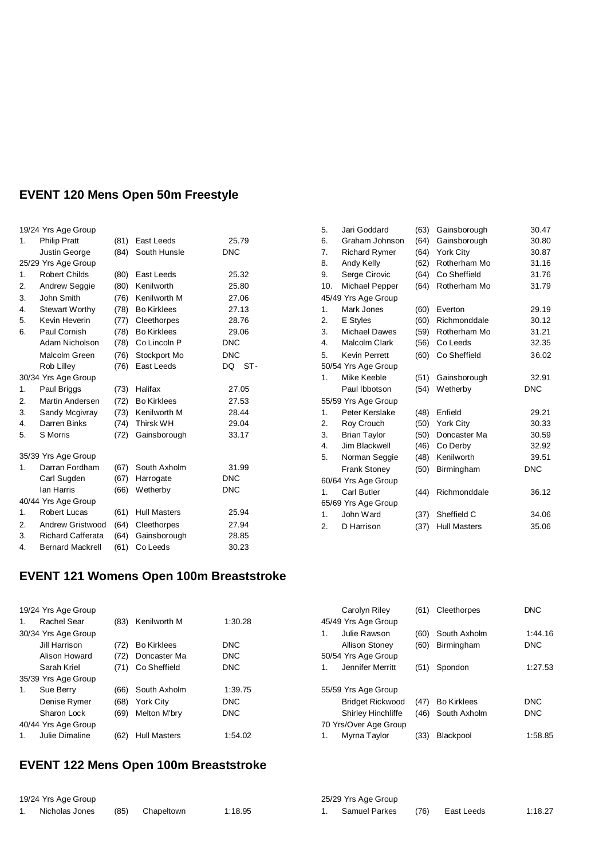# **EVENT 120 Mens Open 50m Freestyle**

|    | 19/24 Yrs Age Group      |      |                     |             |
|----|--------------------------|------|---------------------|-------------|
| 1. | <b>Philip Pratt</b>      | (81) | East Leeds          | 25.79       |
|    | Justin George            | (84) | South Hunsle        | <b>DNC</b>  |
|    | 25/29 Yrs Age Group      |      |                     |             |
| 1. | <b>Robert Childs</b>     | (80) | East Leeds          | 25.32       |
| 2. | Andrew Seggie            | (80) | Kenilworth          | 25.80       |
| 3. | John Smith               | (76) | Kenilworth M        | 27.06       |
| 4. | <b>Stewart Worthy</b>    | (78) | <b>Bo Kirklees</b>  | 27.13       |
| 5. | Kevin Heverin            | (77) | Cleethorpes         | 28.76       |
| 6. | Paul Cornish             | (78) | <b>Bo Kirklees</b>  | 29.06       |
|    | Adam Nicholson           | (78) | Co Lincoln P        | <b>DNC</b>  |
|    | Malcolm Green            | (76) | Stockport Mo        | <b>DNC</b>  |
|    | Rob Lilley               | (76) | East Leeds          | DQ<br>$ST-$ |
|    | 30/34 Yrs Age Group      |      |                     |             |
| 1. | Paul Briggs              | (73) | Halifax             | 27.05       |
| 2. | Martin Andersen          | (72) | <b>Bo Kirklees</b>  | 27.53       |
| 3. | Sandy Mcgivray           | (73) | Kenilworth M        | 28.44       |
| 4. | Darren Binks             | (74) | <b>Thirsk WH</b>    | 29.04       |
| 5. | <b>S</b> Morris          | (72) | Gainsborough        | 33.17       |
|    | 35/39 Yrs Age Group      |      |                     |             |
| 1. | Darran Fordham           | (67) | South Axholm        | 31.99       |
|    | Carl Sugden              | (67) | Harrogate           | <b>DNC</b>  |
|    | Ian Harris               | (66) | Wetherby            | <b>DNC</b>  |
|    |                          |      |                     |             |
|    | 40/44 Yrs Age Group      |      |                     |             |
| 1. | <b>Robert Lucas</b>      | (61) | <b>Hull Masters</b> | 25.94       |
| 2. | Andrew Gristwood         | (64) | Cleethorpes         | 27.94       |
| 3. | <b>Richard Cafferata</b> | (64) | Gainsborough        | 28.85       |
| 4. | <b>Bernard Mackrell</b>  | (61) | Co Leeds            | 30.23       |

| 5.  | Jari Goddard         | (63) | Gainsborough        | 30.47      |
|-----|----------------------|------|---------------------|------------|
| 6.  | Graham Johnson       | (64) | Gainsborough        | 30.80      |
| 7.  | <b>Richard Rymer</b> | (64) | <b>York City</b>    | 30.87      |
| 8.  | Andy Kelly           | (62) | Rotherham Mo        | 31.16      |
| 9.  | Serge Cirovic        | (64) | Co Sheffield        | 31.76      |
| 10. | Michael Pepper       | (64) | Rotherham Mo        | 31.79      |
|     | 45/49 Yrs Age Group  |      |                     |            |
| 1.  | Mark Jones           | (60) | Everton             | 29.19      |
| 2.  | E Styles             | (60) | Richmonddale        | 30.12      |
| 3.  | <b>Michael Dawes</b> | (59) | Rotherham Mo        | 31.21      |
| 4.  | Malcolm Clark        | (56) | Co Leeds            | 32.35      |
| 5.  | <b>Kevin Perrett</b> | (60) | Co Sheffield        | 36.02      |
|     | 50/54 Yrs Age Group  |      |                     |            |
| 1.  | Mike Keeble          | (51) | Gainsborough        | 32.91      |
|     | Paul Ibbotson        | (54) | Wetherby            | <b>DNC</b> |
|     | 55/59 Yrs Age Group  |      |                     |            |
| 1.  | Peter Kerslake       | (48) | Enfield             | 29.21      |
| 2.  | Roy Crouch           | (50) | <b>York City</b>    | 30.33      |
| 3.  | <b>Brian Taylor</b>  | (50) | Doncaster Ma        | 30.59      |
| 4.  | Jim Blackwell        | (46) | Co Derby            | 32.92      |
| 5.  | Norman Seggie        | (48) | Kenilworth          | 39.51      |
|     | <b>Frank Stoney</b>  | (50) | Birmingham          | <b>DNC</b> |
|     | 60/64 Yrs Age Group  |      |                     |            |
| 1.  | Carl Butler          | (44) | Richmonddale        | 36.12      |
|     | 65/69 Yrs Age Group  |      |                     |            |
| 1.  | John Ward            | (37) | Sheffield C         | 34.06      |
| 2.  | D Harrison           | (37) | <b>Hull Masters</b> | 35.06      |

### **EVENT 121 Womens Open 100m Breaststroke**

|    | 19/24 Yrs Age Group |      |                     |            | Carolyn Riley           | (61) | Cleethorpes        | <b>DNC</b> |
|----|---------------------|------|---------------------|------------|-------------------------|------|--------------------|------------|
| 1. | Rachel Sear         | (83) | Kenilworth M        | 1:30.28    | 45/49 Yrs Age Group     |      |                    |            |
|    | 30/34 Yrs Age Group |      |                     |            | Julie Rawson            | (60) | South Axholm       | 1:44.16    |
|    | Jill Harrison       | (72) | <b>Bo Kirklees</b>  | <b>DNC</b> | <b>Allison Stoney</b>   | (60) | Birmingham         | <b>DNC</b> |
|    | Alison Howard       | (72) | Doncaster Ma        | <b>DNC</b> | 50/54 Yrs Age Group     |      |                    |            |
|    | Sarah Kriel         | (71) | Co Sheffield        | <b>DNC</b> | Jennifer Merritt        | (51) | Spondon            | 1:27.53    |
|    | 35/39 Yrs Age Group |      |                     |            |                         |      |                    |            |
| 1. | Sue Berry           | (66) | South Axholm        | 1:39.75    | 55/59 Yrs Age Group     |      |                    |            |
|    | Denise Rymer        | (68) | <b>York City</b>    | <b>DNC</b> | <b>Bridget Rickwood</b> | (47) | <b>Bo Kirklees</b> | <b>DNC</b> |
|    | Sharon Lock         | (69) | Melton M'bry        | <b>DNC</b> | Shirley Hinchliffe      | (46) | South Axholm       | <b>DNC</b> |
|    | 40/44 Yrs Age Group |      |                     |            | 70 Yrs/Over Age Group   |      |                    |            |
|    | Julie Dimaline      | (62) | <b>Hull Masters</b> | 1:54.02    | Myrna Taylor            | (33) | Blackpool          | 1:58.85    |

### **EVENT 122 Mens Open 100m Breaststroke**

| 19/24 Yrs Age Group |                |  |                 | 25/29 Yrs Age Group |  |               |      |            |         |
|---------------------|----------------|--|-----------------|---------------------|--|---------------|------|------------|---------|
|                     | Nicholas Jones |  | (85) Chapeltown | 1:18.95             |  | Samuel Parkes | (76) | East Leeds | 1:18.27 |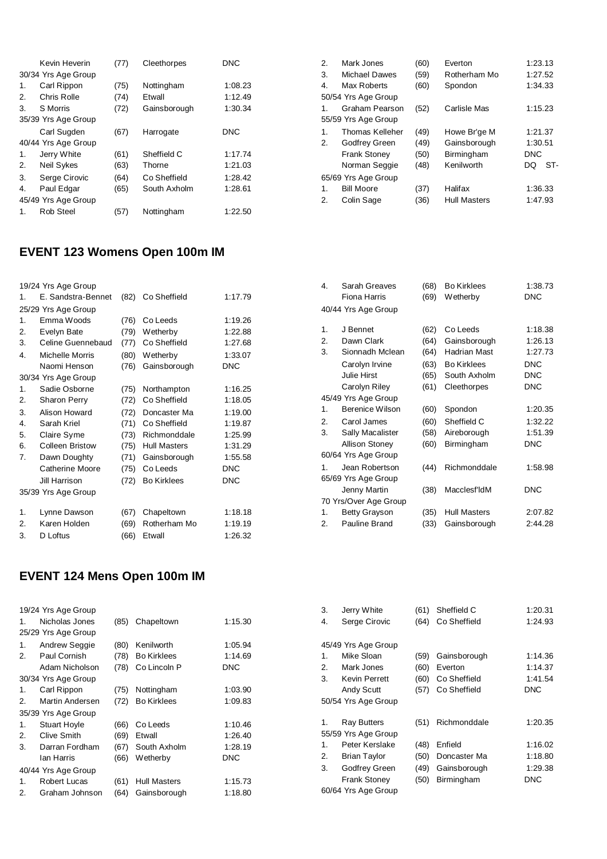|    | Kevin Heverin       | (77) | Cleethorpes  | <b>DNC</b> |
|----|---------------------|------|--------------|------------|
|    | 30/34 Yrs Age Group |      |              |            |
| 1. | Carl Rippon         | (75) | Nottingham   | 1:08.23    |
| 2. | Chris Rolle         | (74) | Etwall       | 1:12.49    |
| 3. | S Morris            | (72) | Gainsborough | 1:30.34    |
|    | 35/39 Yrs Age Group |      |              |            |
|    | Carl Sugden         | (67) | Harrogate    | <b>DNC</b> |
|    | 40/44 Yrs Age Group |      |              |            |
| 1. | Jerry White         | (61) | Sheffield C  | 1:17.74    |
| 2. | Neil Sykes          | (63) | Thorne       | 1:21.03    |
| 3. | Serge Cirovic       | (64) | Co Sheffield | 1:28.42    |
| 4. | Paul Edgar          | (65) | South Axholm | 1:28.61    |
|    | 45/49 Yrs Age Group |      |              |            |
| 1. | Rob Steel           | (57) | Nottingham   | 1:22.50    |

# **EVENT 123 Womens Open 100m IM**

|    | 19/24 Yrs Age Group    |      |                     |            |
|----|------------------------|------|---------------------|------------|
| 1. | E. Sandstra-Bennet     | (82) | Co Sheffield        | 1:17.79    |
|    | 25/29 Yrs Age Group    |      |                     |            |
| 1. | Emma Woods             | (76) | Co Leeds            | 1:19.26    |
| 2. | Evelyn Bate            | (79) | Wetherby            | 1:22.88    |
| 3. | Celine Guennebaud      | (77) | Co Sheffield        | 1:27.68    |
| 4. | <b>Michelle Morris</b> | (80) | Wetherby            | 1:33.07    |
|    | Naomi Henson           | (76) | Gainsborough        | <b>DNC</b> |
|    | 30/34 Yrs Age Group    |      |                     |            |
| 1. | Sadie Osborne          | (75) | Northampton         | 1:16.25    |
| 2. | <b>Sharon Perry</b>    | (72) | Co Sheffield        | 1:18.05    |
| 3. | Alison Howard          | (72) | Doncaster Ma        | 1:19.00    |
| 4. | Sarah Kriel            | (71) | Co Sheffield        | 1:19.87    |
| 5. | Claire Syme            | (73) | Richmonddale        | 1:25.99    |
| 6. | <b>Colleen Bristow</b> | (75) | <b>Hull Masters</b> | 1:31.29    |
| 7. | Dawn Doughty           | (71) | Gainsborough        | 1:55.58    |
|    | Catherine Moore        | (75) | Co Leeds            | <b>DNC</b> |
|    | Jill Harrison          | (72) | <b>Bo Kirklees</b>  | <b>DNC</b> |
|    | 35/39 Yrs Age Group    |      |                     |            |
| 1. | Lynne Dawson           | (67) | Chapeltown          | 1:18.18    |
| 2. | Karen Holden           | (69) | Rotherham Mo        | 1:19.19    |
| 3. | D Loftus               | (66) | Etwall              | 1:26.32    |

# **EVENT 124 Mens Open 100m IM**

|    | 19/24 Yrs Age Group |      |                     |            |
|----|---------------------|------|---------------------|------------|
| 1. | Nicholas Jones      | (85) | Chapeltown          | 1:15.30    |
|    | 25/29 Yrs Age Group |      |                     |            |
| 1. | Andrew Seggie       | (80) | Kenilworth          | 1:05.94    |
| 2. | Paul Cornish        | (78) | <b>Bo Kirklees</b>  | 1:14.69    |
|    | Adam Nicholson      | (78) | Co Lincoln P        | <b>DNC</b> |
|    | 30/34 Yrs Age Group |      |                     |            |
| 1. | Carl Rippon         | (75) | Nottingham          | 1:03.90    |
| 2. | Martin Andersen     | (72) | <b>Bo Kirklees</b>  | 1:09.83    |
|    | 35/39 Yrs Age Group |      |                     |            |
| 1. | <b>Stuart Hoyle</b> | (66) | Co Leeds            | 1:10.46    |
| 2. | <b>Clive Smith</b>  | (69) | Etwall              | 1:26.40    |
| 3. | Darran Fordham      | (67) | South Axholm        | 1:28.19    |
|    | lan Harris          | (66) | Wetherby            | <b>DNC</b> |
|    | 40/44 Yrs Age Group |      |                     |            |
| 1. | Robert Lucas        | (61) | <b>Hull Masters</b> | 1:15.73    |
| 2. | Graham Johnson      | (64) | Gainsborough        | 1:18.80    |
|    |                     |      |                     |            |

| 2. | Mark Jones             | (60) | Everton             | 1:23.13    |
|----|------------------------|------|---------------------|------------|
| 3. | <b>Michael Dawes</b>   | (59) | Rotherham Mo        | 1:27.52    |
| 4. | Max Roberts            | (60) | Spondon             | 1:34.33    |
|    | 50/54 Yrs Age Group    |      |                     |            |
| 1. | Graham Pearson         | (52) | Carlisle Mas        | 1:15.23    |
|    | 55/59 Yrs Age Group    |      |                     |            |
| 1. | <b>Thomas Kelleher</b> | (49) | Howe Br'ge M        | 1:21.37    |
| 2. | Godfrey Green          | (49) | Gainsborough        | 1:30.51    |
|    | <b>Frank Stoney</b>    | (50) | Birmingham          | <b>DNC</b> |
|    | Norman Seggie          | (48) | Kenilworth          | ST-<br>DQ  |
|    | 65/69 Yrs Age Group    |      |                     |            |
| 1. | <b>Bill Moore</b>      | (37) | Halifax             | 1:36.33    |
| 2. | Colin Sage             | (36) | <b>Hull Masters</b> | 1:47.93    |
|    |                        |      |                     |            |

| 4. | Sarah Greaves<br>Fiona Harris | (68)<br>(69) | <b>Bo Kirklees</b><br><b>Wetherby</b> | 1:38.73<br><b>DNC</b> |
|----|-------------------------------|--------------|---------------------------------------|-----------------------|
|    | 40/44 Yrs Age Group           |              |                                       |                       |
| 1. | J Bennet                      | (62)         | Co Leeds                              | 1:18.38               |
| 2. | Dawn Clark                    | (64)         | Gainsborough                          | 1:26.13               |
| 3. | Sionnadh Mclean               | (64)         | Hadrian Mast                          | 1:27.73               |
|    | Carolyn Irvine                | (63)         | <b>Bo Kirklees</b>                    | <b>DNC</b>            |
|    | Julie Hirst                   | (65)         | South Axholm                          | DNC                   |
|    | Carolyn Riley                 | (61)         | Cleethorpes                           | <b>DNC</b>            |
|    | 45/49 Yrs Age Group           |              |                                       |                       |
| 1. | Berenice Wilson               | (60)         | Spondon                               | 1:20.35               |
| 2. | Carol James                   | (60)         | Sheffield C                           | 1:32.22               |
| 3. | Sally Macalister              | (58)         | Aireborough                           | 1:51.39               |
|    | <b>Allison Stoney</b>         | (60)         | Birmingham                            | DNC                   |
|    | 60/64 Yrs Age Group           |              |                                       |                       |
| 1. | Jean Robertson                | (44)         | Richmonddale                          | 1:58.98               |
|    | 65/69 Yrs Age Group           |              |                                       |                       |
|    | Jenny Martin                  | (38)         | Macclesf <sup>'</sup> IdM             | DNC                   |
|    | 70 Yrs/Over Age Group         |              |                                       |                       |
| 1. | <b>Betty Grayson</b>          | (35)         | <b>Hull Masters</b>                   | 2:07.82               |
| 2. | Pauline Brand                 | (33)         | Gainsborough                          | 2:44.28               |
|    |                               |              |                                       |                       |

| 3. | Jerry White         | (61) | Sheffield C  | 1:20.31    |
|----|---------------------|------|--------------|------------|
| 4. | Serge Cirovic       | (64) | Co Sheffield | 1:24.93    |
|    |                     |      |              |            |
|    | 45/49 Yrs Age Group |      |              |            |
| 1. | Mike Sloan          | (59) | Gainsborough | 1:14.36    |
| 2. | Mark Jones          | (60) | Everton      | 1:14.37    |
| 3. | Kevin Perrett       | (60) | Co Sheffield | 1:41.54    |
|    | <b>Andy Scutt</b>   | (57) | Co Sheffield | <b>DNC</b> |
|    | 50/54 Yrs Age Group |      |              |            |
|    |                     |      |              |            |
| 1. | <b>Ray Butters</b>  | (51) | Richmonddale | 1:20.35    |
|    | 55/59 Yrs Age Group |      |              |            |
| 1. | Peter Kerslake      | (48) | Enfield      | 1:16.02    |
| 2. | Brian Taylor        | (50) | Doncaster Ma | 1:18.80    |
| 3. | Godfrey Green       | (49) | Gainsborough | 1:29.38    |
|    | Frank Stoney        | (50) | Birmingham   | DNC        |
|    | 60/64 Yrs Age Group |      |              |            |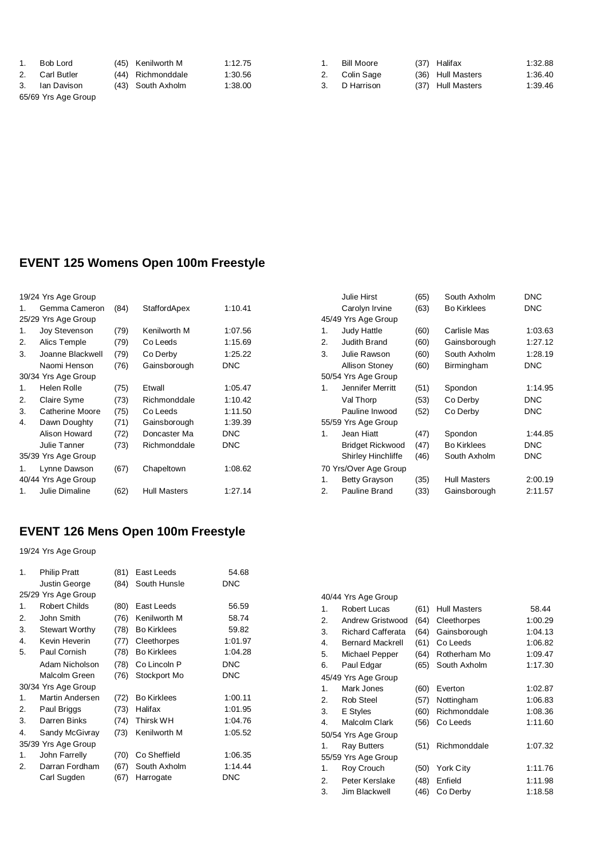| <b>Bob Lord</b> |  |
|-----------------|--|
|                 |  |

65/69 Yrs Age Group

(45) Kenilworth M 1:12.75 2. Carl Butler (44) Richmonddale 1:30.56

3. Ian Davison (43) South Axholm 1:38.00

1. Bill Moore (37) Halifax (1:32.88<br>2. Colin Sage (36) Hull Masters (1:36.40<br>3. D Harrison (37) Hull Masters (1:39.46

2. Colin Sage (36) Hull Masters 1:36.40 (37) Hull Masters 1:39.46

#### **EVENT 125 Womens Open 100m Freestyle**

|    | 19/24 Yrs Age Group |      |                     |            |
|----|---------------------|------|---------------------|------------|
| 1. | Gemma Cameron       | (84) | StaffordApex        | 1:10.41    |
|    | 25/29 Yrs Age Group |      |                     |            |
| 1. | Joy Stevenson       | (79) | Kenilworth M        | 1:07.56    |
| 2. | Alics Temple        | (79) | Co Leeds            | 1:15.69    |
| 3. | Joanne Blackwell    | (79) | Co Derby            | 1:25.22    |
|    | Naomi Henson        | (76) | Gainsborough        | <b>DNC</b> |
|    | 30/34 Yrs Age Group |      |                     |            |
| 1. | Helen Rolle         | (75) | Etwall              | 1:05.47    |
| 2. | Claire Syme         | (73) | Richmonddale        | 1:10.42    |
| 3. | Catherine Moore     | (75) | Co Leeds            | 1:11.50    |
| 4. | Dawn Doughty        | (71) | Gainsborough        | 1:39.39    |
|    | Alison Howard       | (72) | Doncaster Ma        | <b>DNC</b> |
|    | Julie Tanner        | (73) | Richmonddale        | <b>DNC</b> |
|    | 35/39 Yrs Age Group |      |                     |            |
| 1. | Lynne Dawson        | (67) | Chapeltown          | 1:08.62    |
|    | 40/44 Yrs Age Group |      |                     |            |
| 1. | Julie Dimaline      | (62) | <b>Hull Masters</b> | 1:27.14    |

## **EVENT 126 Mens Open 100m Freestyle**

19/24 Yrs Age Group

| 1.                      | <b>Philip Pratt</b><br>Justin George | (81)<br>(84) | East Leeds<br>South Hunsle | 54.68<br>DNC |
|-------------------------|--------------------------------------|--------------|----------------------------|--------------|
|                         | 25/29 Yrs Age Group                  |              |                            |              |
| 1.                      | Robert Childs                        | (80)         | East Leeds                 | 56.59        |
| 2.                      | John Smith                           | (76)         | Kenilworth M               | 58.74        |
| 3.                      | <b>Stewart Worthy</b>                | (78)         | <b>Bo Kirklees</b>         | 59.82        |
| $\overline{\mathbf{4}}$ | Kevin Heverin                        | (77)         | Cleethorpes                | 1:01.97      |
| 5.                      | Paul Cornish                         | (78)         | <b>Bo Kirklees</b>         | 1:04.28      |
|                         | Adam Nicholson                       | (78)         | Co Lincoln P               | <b>DNC</b>   |
|                         | Malcolm Green                        | (76)         | Stockport Mo               | <b>DNC</b>   |
|                         | 30/34 Yrs Age Group                  |              |                            |              |
| 1.                      | Martin Andersen                      | (72)         | <b>Bo Kirklees</b>         | 1:00.11      |
| 2.                      | Paul Briggs                          | (73)         | Halifax                    | 1:01.95      |
| 3.                      | Darren Binks                         | (74)         | <b>Thirsk WH</b>           | 1:04.76      |
| 4.                      | Sandy McGivray                       | (73)         | Kenilworth M               | 1:05.52      |
|                         | 35/39 Yrs Age Group                  |              |                            |              |
| 1.                      | John Farrelly                        | (70)         | Co Sheffield               | 1:06.35      |
| 2.                      | Darran Fordham                       | (67)         | South Axholm               | 1:14.44      |
|                         | Carl Sugden                          | (67)         | Harrogate                  | DNC          |

|    | Julie Hirst               | (65) | South Axholm        | <b>DNC</b> |
|----|---------------------------|------|---------------------|------------|
|    | Carolyn Irvine            | (63) | <b>Bo Kirklees</b>  | DNC        |
|    | 45/49 Yrs Age Group       |      |                     |            |
| 1. | <b>Judy Hattle</b>        | (60) | Carlisle Mas        | 1:03.63    |
| 2. | Judith Brand              | (60) | Gainsborough        | 1:27.12    |
| 3. | Julie Rawson              | (60) | South Axholm        | 1:28.19    |
|    | Allison Stoney            | (60) | Birmingham          | <b>DNC</b> |
|    | 50/54 Yrs Age Group       |      |                     |            |
| 1. | Jennifer Merritt          | (51) | Spondon             | 1:14.95    |
|    | Val Thorp                 | (53) | Co Derby            | <b>DNC</b> |
|    | Pauline Inwood            | (52) | Co Derby            | <b>DNC</b> |
|    | 55/59 Yrs Age Group       |      |                     |            |
| 1. | Jean Hiatt                | (47) | Spondon             | 1:44.85    |
|    | <b>Bridget Rickwood</b>   | (47) | <b>Bo Kirklees</b>  | <b>DNC</b> |
|    | <b>Shirley Hinchliffe</b> | (46) | South Axholm        | <b>DNC</b> |
|    | 70 Yrs/Over Age Group     |      |                     |            |
| 1. | <b>Betty Grayson</b>      | (35) | <b>Hull Masters</b> | 2:00.19    |
| 2. | Pauline Brand             | (33) | Gainsborough        | 2:11.57    |
|    |                           |      |                     |            |

|    | 40/44 Yrs Age Group     |      |                     |         |
|----|-------------------------|------|---------------------|---------|
| 1. | Robert Lucas            | (61) | <b>Hull Masters</b> | 58.44   |
| 2. | Andrew Gristwood        | (64) | Cleethorpes         | 1:00.29 |
| 3. | Richard Cafferata       | (64) | Gainsborough        | 1:04.13 |
| 4. | <b>Bernard Mackrell</b> | (61) | Co Leeds            | 1:06.82 |
| 5. | Michael Pepper          | (64) | Rotherham Mo        | 1:09.47 |
| 6. | Paul Edgar              | (65) | South Axholm        | 1:17.30 |
|    | 45/49 Yrs Age Group     |      |                     |         |
| 1. | Mark Jones              | (60) | Everton             | 1:02.87 |
| 2. | <b>Rob Steel</b>        | (57) | Nottingham          | 1:06.83 |
| 3. | E Styles                | (60) | Richmonddale        | 1:08.36 |
| 4. | Malcolm Clark           | (56) | Co Leeds            | 1:11.60 |
|    | 50/54 Yrs Age Group     |      |                     |         |
| 1. | Ray Butters             | (51) | Richmonddale        | 1:07.32 |
|    | 55/59 Yrs Age Group     |      |                     |         |
| 1. | Roy Crouch              | (50) | York City           | 1:11.76 |
| 2. | Peter Kerslake          | (48) | Enfield             | 1:11.98 |
| 3. | Jim Blackwell           | (46) | Co Derby            | 1:18.58 |
|    |                         |      |                     |         |